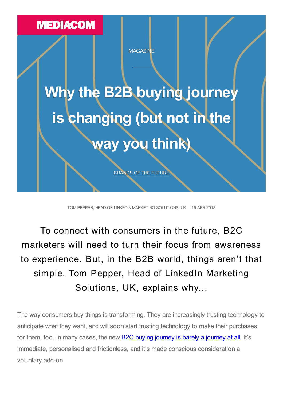

TOM PEPPER, HEAD OF LINKEDIN MARKETING SOLUTIONS, UK 16 APR 2018

# To connect with consumers in the future, B2C marketers will need to turn their focus from awareness to experience. But, in the B2B world, things aren't that simple. Tom Pepper, Head of LinkedIn Marketing Solutions, UK, explains why...

The way consumers buy things is transforming. They are increasingly trusting technology to anticipate what they want, and will soon start trusting technology to make their purchases for them, too. In many cases, the new **B2C buying [journey](https://www.mediacom.com/en/think/magazine/building-the-brands-of-the-future/preparing-for-the-consumer-journey-of-the-future) is barely a journey at all**. It's immediate, personalised and frictionless, and it's made conscious consideration a voluntary add-on.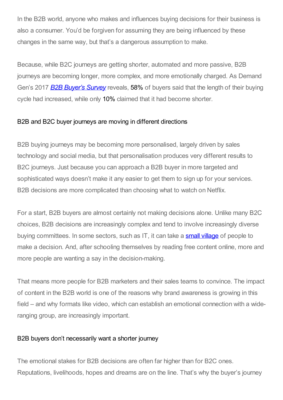In the B2B world, anyone who makes and influences buying decisions for their business is also a consumer. You'd be forgiven for assuming they are being influenced by these changes in the same way, but that's a dangerous assumption to make.

Because, while B2C journeys are getting shorter, automated and more passive, B2B journeys are becoming longer, more complex, and more emotionally charged. As Demand Gen's 2017 *B2B [Buyer's](https://www.demandgenreport.com/resources/research/2017-b2b-buyers-survey-report) Survey* reveals, 58% of buyers said that the length of their buying cycle had increased, while only 10% claimed that it had become shorter.

# B2B and B2C buyer journeys are moving in different directions

B2B buying journeys may be becoming more personalised, largely driven by sales technology and social media, but that personalisation produces very different results to B2C journeys. Just because you can approach a B2B buyer in more targeted and sophisticated ways doesn't make it any easier to get them to sign up for your services. B2B decisions are more complicated than choosing what to watch on Netflix.

For a start, B2B buyers are almost certainly not making decisions alone. Unlike many B2C choices, B2B decisions are increasingly complex and tend to involve increasingly diverse buying committees. In some sectors, such as IT, it can take a **small [village](https://business.linkedin.com/marketing-solutions/blog/millennial-minute/2017/millennial-minute--meet-the-new-tech-buying-committee)** of people to make a decision. And, after schooling themselves by reading free content online, more and more people are wanting a say in the decision-making.

That means more people for B2B marketers and their sales teams to convince. The impact of content in the B2B world is one of the reasons why brand awareness is growing in this field – and why formats like video, which can establish an emotional connection with a wideranging group, are increasingly important.

# B2B buyers don't necessarily want a shorter journey

The emotional stakes for B2B decisions are often far higher than for B2C ones. Reputations, livelihoods, hopes and dreams are on the line. That's why the buyer's journey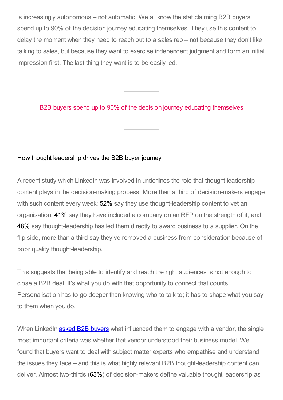is increasingly autonomous – not automatic. We all know the stat claiming B2B buyers spend up to 90% of the decision journey educating themselves. They use this content to delay the moment when they need to reach out to a sales rep – not because they don't like talking to sales, but because they want to exercise independent judgment and form an initial impression first. The last thing they want is to be easily led.

#### B2B buyers spend up to 90% of the decision journey educating themselves

#### How thought leadership drives the B2B buyer journey

A recent study which LinkedIn was involved in underlines the role that thought leadership content plays in the decision-making process. More than a third of decision-makers engage with such content every week; 52% say they use thought-leadership content to vet an organisation, 41% say they have included a company on an RFP on the strength of it, and 48% say thought-leadership has led them directly to award business to a supplier. On the flip side, more than a third say they've removed a business from consideration because of poor quality thought-leadership.

This suggests that being able to identify and reach the right audiences is not enough to close a B2B deal. It's what you do with that opportunity to connect that counts. Personalisation has to go deeper than knowing who to talk to; it has to shape what you say to them when you do.

When LinkedIn **asked B2B [buyers](https://www.linkedin.com/pulse/failing-do-your-homework-cost-you-sales-liam-halpin/)** what influenced them to engage with a vendor, the single most important criteria was whether that vendor understood their business model. We found that buyers want to deal with subject matter experts who empathise and understand the issues they face – and this is what highly relevant B2B thought-leadership content can deliver. Almost two-thirds (63%) of decision-makers define valuable thought leadership as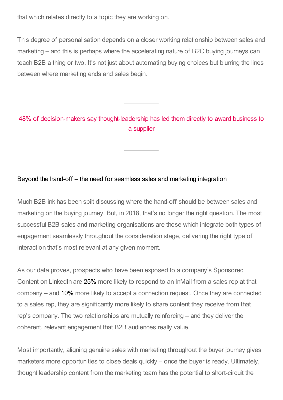that which relates directly to a topic they are working on.

This degree of personalisation depends on a closer working relationship between sales and marketing – and this is perhaps where the accelerating nature of B2C buying journeys can teach B2B a thing or two. It's not just about automating buying choices but blurring the lines between where marketing ends and sales begin.

# 48% of decision-makers say thought-leadership has led them directly to award business to a supplier

#### Beyond the hand-off – the need for seamless sales and marketing integration

Much B2B ink has been spilt discussing where the hand-off should be between sales and marketing on the buying journey. But, in 2018, that's no longer the right question. The most successful B2B sales and marketing organisations are those which integrate both types of engagement seamlessly throughout the consideration stage, delivering the right type of interaction that's most relevant at any given moment.

As our data proves, prospects who have been exposed to a company's Sponsored Content on LinkedIn are 25% more likely to respond to an InMail from a sales rep at that company – and 10% more likely to accept a connection request. Once they are connected to a sales rep, they are significantly more likely to share content they receive from that rep's company. The two relationships are mutually reinforcing – and they deliver the coherent, relevant engagement that B2B audiences really value.

Most importantly, aligning genuine sales with marketing throughout the buyer journey gives marketers more opportunities to close deals quickly – once the buyer is ready. Ultimately, thought leadership content from the marketing team has the potential to short-circuit the